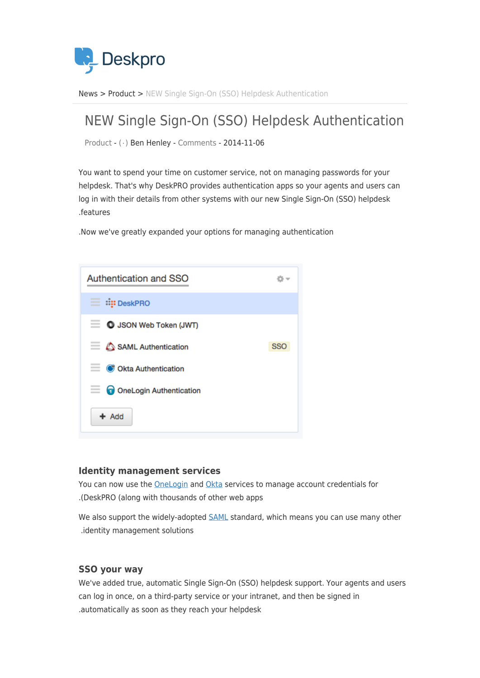

News> [Product](https://support.deskpro.com/ar/news/product) > NEW Single Sign-On (SSO) Helpdesk Authentication

## NEW Single Sign-On (SSO) Helpdesk Authentication

Product -  $(·)$  Ben Henley - [Comments](#page--1-0) - 2014-11-06

You want to spend your time on customer service, not on managing passwords for your helpdesk. That's why DeskPRO provides authentication apps so your agents and users can log in with their details from other systems with our new Single Sign-On (SSO) helpdesk features.

. Now we've greatly expanded your options for managing authentication



## **Identity management services**

You can now use the OneLogin and [Okta](https://www.okta.com/) services to manage account credentials for .(DeskPRO (along with thousands of other web apps

We also support the widely-adopted [SAML](http://en.wikipedia.org/wiki/SAML_2.0) standard, which means you can use many other .identity management solutions

## **SSO** your way

We've added true, automatic Single Sign-On (SSO) helpdesk support. Your agents and users can log in once, on a third-party service or your intranet, and then be signed in .automatically as soon as they reach your helpdesk